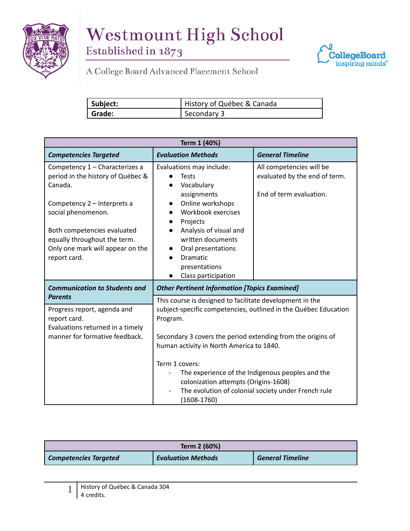



| Subject: | History of Québec & Canada |
|----------|----------------------------|
| ' Grade: | Secondary 3                |

| Term 1 (40%)                                                                                                                        |                                                                                                                                                                                                                                                    |                                                                                      |  |  |
|-------------------------------------------------------------------------------------------------------------------------------------|----------------------------------------------------------------------------------------------------------------------------------------------------------------------------------------------------------------------------------------------------|--------------------------------------------------------------------------------------|--|--|
| <b>Competencies Targeted</b>                                                                                                        | <b>Evaluation Methods</b>                                                                                                                                                                                                                          | <b>General Timeline</b>                                                              |  |  |
| Competency 1 - Characterizes a<br>period in the history of Québec &<br>Canada.                                                      | Evaluations may include:<br><b>Tests</b><br>Vocabulary<br>assignments                                                                                                                                                                              | All competencies will be<br>evaluated by the end of term.<br>End of term evaluation. |  |  |
| Competency 2 - Interprets a<br>social phenomenon.                                                                                   | Online workshops<br>Workbook exercises<br>Projects                                                                                                                                                                                                 |                                                                                      |  |  |
| Both competencies evaluated<br>equally throughout the term.<br>Only one mark will appear on the<br>report card.                     | Analysis of visual and<br>written documents<br>Oral presentations<br><b>Dramatic</b><br>presentations<br>Class participation                                                                                                                       |                                                                                      |  |  |
| <b>Communication to Students and</b>                                                                                                | <b>Other Pertinent Information [Topics Examined]</b>                                                                                                                                                                                               |                                                                                      |  |  |
| <b>Parents</b><br>Progress report, agenda and<br>report card.<br>Evaluations returned in a timely<br>manner for formative feedback. | This course is designed to facilitate development in the<br>subject-specific competencies, outlined in the Québec Education<br>Program.<br>Secondary 3 covers the period extending from the origins of<br>human activity in North America to 1840. |                                                                                      |  |  |
|                                                                                                                                     | Term 1 covers:<br>The experience of the Indigenous peoples and the<br>colonization attempts (Origins-1608)<br>The evolution of colonial society under French rule<br>$(1608-1760)$                                                                 |                                                                                      |  |  |

| Term 2 (60%)                 |                           |                         |
|------------------------------|---------------------------|-------------------------|
| <b>Competencies Targeted</b> | <b>Evaluation Methods</b> | <b>General Timeline</b> |

**1**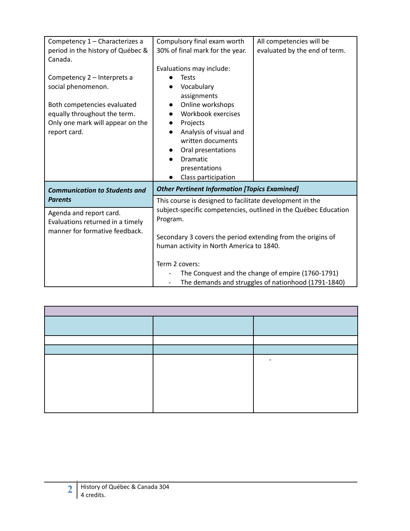| Competency 1 - Characterizes a<br>period in the history of Québec &                                                                                                  | Compulsory final exam worth<br>30% of final mark for the year.                                                                                                                                                                                     | All competencies will be<br>evaluated by the end of term.                                                |
|----------------------------------------------------------------------------------------------------------------------------------------------------------------------|----------------------------------------------------------------------------------------------------------------------------------------------------------------------------------------------------------------------------------------------------|----------------------------------------------------------------------------------------------------------|
| Canada.                                                                                                                                                              | Evaluations may include:                                                                                                                                                                                                                           |                                                                                                          |
| Competency 2 - Interprets a<br>social phenomenon.<br>Both competencies evaluated<br>equally throughout the term.<br>Only one mark will appear on the<br>report card. | <b>Tests</b><br>Vocabulary<br>assignments<br>Online workshops<br>Workbook exercises<br>Projects<br>Analysis of visual and<br>written documents<br>Oral presentations<br><b>Dramatic</b><br>presentations<br>Class participation                    |                                                                                                          |
| <b>Communication to Students and</b>                                                                                                                                 | <b>Other Pertinent Information [Topics Examined]</b>                                                                                                                                                                                               |                                                                                                          |
| <b>Parents</b><br>Agenda and report card.<br>Evaluations returned in a timely<br>manner for formative feedback.                                                      | This course is designed to facilitate development in the<br>subject-specific competencies, outlined in the Québec Education<br>Program.<br>Secondary 3 covers the period extending from the origins of<br>human activity in North America to 1840. |                                                                                                          |
|                                                                                                                                                                      | Term 2 covers:<br>$\overline{\phantom{a}}$                                                                                                                                                                                                         | The Conquest and the change of empire (1760-1791)<br>The demands and struggles of nationhood (1791-1840) |